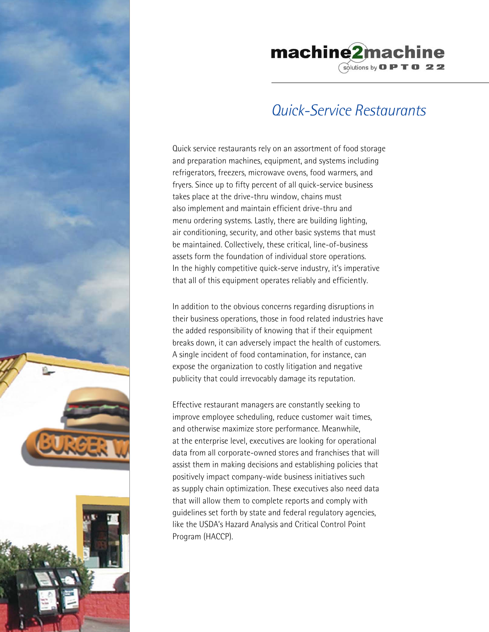



## *Quick-Service Restaurants*

Quick service restaurants rely on an assortment of food storage and preparation machines, equipment, and systems including refrigerators, freezers, microwave ovens, food warmers, and fryers. Since up to fifty percent of all quick-service business takes place at the drive-thru window, chains must also implement and maintain efficient drive-thru and menu ordering systems. Lastly, there are building lighting, air conditioning, security, and other basic systems that must be maintained. Collectively, these critical, line-of-business assets form the foundation of individual store operations. In the highly competitive quick-serve industry, it's imperative that all of this equipment operates reliably and efficiently.

In addition to the obvious concerns regarding disruptions in their business operations, those in food related industries have the added responsibility of knowing that if their equipment breaks down, it can adversely impact the health of customers. A single incident of food contamination, for instance, can expose the organization to costly litigation and negative publicity that could irrevocably damage its reputation.

Effective restaurant managers are constantly seeking to improve employee scheduling, reduce customer wait times, and otherwise maximize store performance. Meanwhile, at the enterprise level, executives are looking for operational data from all corporate-owned stores and franchises that will assist them in making decisions and establishing policies that positively impact company-wide business initiatives such as supply chain optimization. These executives also need data that will allow them to complete reports and comply with guidelines set forth by state and federal regulatory agencies, like the USDA's Hazard Analysis and Critical Control Point Program (HACCP).